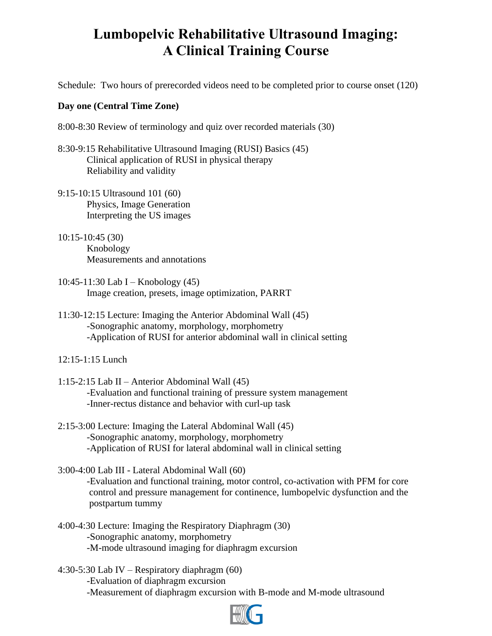## **Lumbopelvic Rehabilitative Ultrasound Imaging: A Clinical Training Course**

Schedule: Two hours of prerecorded videos need to be completed prior to course onset (120)

## **Day one (Central Time Zone)**

8:00-8:30 Review of terminology and quiz over recorded materials (30)

- 8:30-9:15 Rehabilitative Ultrasound Imaging (RUSI) Basics (45) Clinical application of RUSI in physical therapy Reliability and validity
- 9:15-10:15 Ultrasound 101 (60) Physics, Image Generation Interpreting the US images
- 10:15-10:45 (30) Knobology Measurements and annotations
- 10:45-11:30 Lab I Knobology (45) Image creation, presets, image optimization, PARRT
- 11:30-12:15 Lecture: Imaging the Anterior Abdominal Wall (45) -Sonographic anatomy, morphology, morphometry -Application of RUSI for anterior abdominal wall in clinical setting
- 12:15-1:15 Lunch
- 1:15-2:15 Lab II Anterior Abdominal Wall (45) -Evaluation and functional training of pressure system management -Inner-rectus distance and behavior with curl-up task
- 2:15-3:00 Lecture: Imaging the Lateral Abdominal Wall (45) -Sonographic anatomy, morphology, morphometry -Application of RUSI for lateral abdominal wall in clinical setting

3:00-4:00 Lab III - Lateral Abdominal Wall (60) -Evaluation and functional training, motor control, co-activation with PFM for core control and pressure management for continence, lumbopelvic dysfunction and the postpartum tummy

4:00-4:30 Lecture: Imaging the Respiratory Diaphragm (30) -Sonographic anatomy, morphometry -M-mode ultrasound imaging for diaphragm excursion

4:30-5:30 Lab IV – Respiratory diaphragm (60) -Evaluation of diaphragm excursion -Measurement of diaphragm excursion with B-mode and M-mode ultrasound